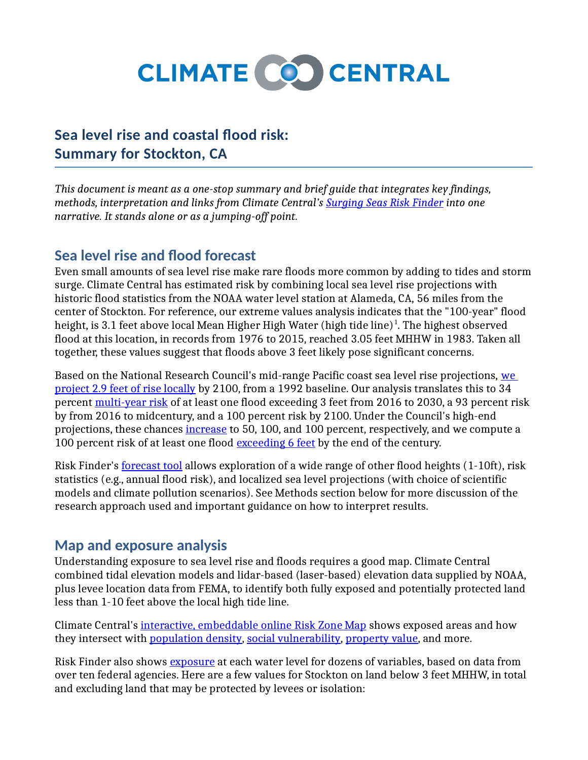

# **Sea level rise and coastal flood risk: Summary for Stockton, CA**

*This document is meant as a one-stop summary and brief guide that integrates key findings, methods, interpretation and links from Climate Central's [Surging Seas Risk Finder](http://www.riskfinder.org/) into one narrative. It stands alone or as a jumping-off point.*

### **Sea level rise and flood forecast**

Even small amounts of sea level rise make rare floods more common by adding to tides and storm surge. Climate Central has estimated risk by combining local sea level rise projections with historic flood statistics from the NOAA water level station at Alameda, CA, 56 miles from the center of Stockton. For reference, our extreme values analysis indicates that the "100-year" flood height, is 3.1 feet above local Mean Higher High Water (high tide line) $^1$ . The highest observed flood at this location, in records from 1976 to 2015, reached 3.05 feet MHHW in 1983. Taken all together, these values suggest that floods above 3 feet likely pose significant concerns.

Based on the National Research Council's mid-range Pacific coast sea level rise projections, [we](http://www.riskfinder.org/place/stockton.ca.us?forecastName=Basic&forecastType=NRC_Medium#threat-forecast)  [project 2.9 feet of rise locally](http://www.riskfinder.org/place/stockton.ca.us?forecastName=Basic&forecastType=NRC_Medium#threat-forecast) by 2100, from a 1992 baseline. Our analysis translates this to 34 percent [multi-year risk](http://www.riskfinder.org/place/stockton.ca.us?forecastType=NRC_Medium&level=3&unit=ft#threat-forecast) of at least one flood exceeding 3 feet from 2016 to 2030, a 93 percent risk by from 2016 to midcentury, and a 100 percent risk by 2100. Under the Council's high-end projections, these chances [increase](http://www.riskfinder.org/place/stockton.ca.us?forecastType=NRC_High&level=3&unit=ft#threat-forecast) to 50, 100, and 100 percent, respectively, and we compute a 100 percent risk of at least one flood [exceeding 6 feet](http://www.riskfinder.org/place/stockton.ca.us?forecastType=NRC_High&level=6&unit=ft#threat-forecast) by the end of the century.

Risk Finder's [forecast tool](http://www.riskfinder.org/place/stockton.ca.us?forecastType=NRC_Medium&level=3&unit=ft#threat-forecast) allows exploration of a wide range of other flood heights (1-10ft), risk statistics (e.g., annual flood risk), and localized sea level projections (with choice of scientific models and climate pollution scenarios). See Methods section below for more discussion of the research approach used and important guidance on how to interpret results.

### **Map and exposure analysis**

Understanding exposure to sea level rise and floods requires a good map. Climate Central combined tidal elevation models and lidar-based (laser-based) elevation data supplied by NOAA, plus levee location data from FEMA, to identify both fully exposed and potentially protected land less than 1-10 feet above the local high tide line.

Climate Central's [interactive, embeddable online Risk Zone Map](http://ss2.climatecentral.org/?bbox=38.0778773947,-121.442857898,37.8483551459,-121.160488191&label=Stockton#11.0/37.9631162703/-121.301673045?level=3&pois=show) shows exposed areas and how they intersect with [population density,](http://ss2.climatecentral.org/?bbox=38.0778773947,-121.442857898,37.8483551459,-121.160488191&label=Stockton#11.0/37.9631162703/-121.301673045?level=3&show=popd&pois=hide) [social vulnerability,](http://ss2.climatecentral.org/?bbox=38.0778773947,-121.442857898,37.8483551459,-121.160488191&label=Stockton#11.0/37.9631162703/-121.301673045?level=3&show=sovi&pois=hide) [property value,](http://ss2.climatecentral.org/?bbox=38.0778773947,-121.442857898,37.8483551459,-121.160488191&label=Stockton#11.0/37.9631162703/-121.301673045?level=3&show=property&pois=hide) and more.

Risk Finder also shows [exposure](http://www.riskfinder.org/place/stockton.ca.us?level=3&unit=ft#impacts-in-depth) at each water level for dozens of variables, based on data from over ten federal agencies. Here are a few values for Stockton on land below 3 feet MHHW, in total and excluding land that may be protected by levees or isolation: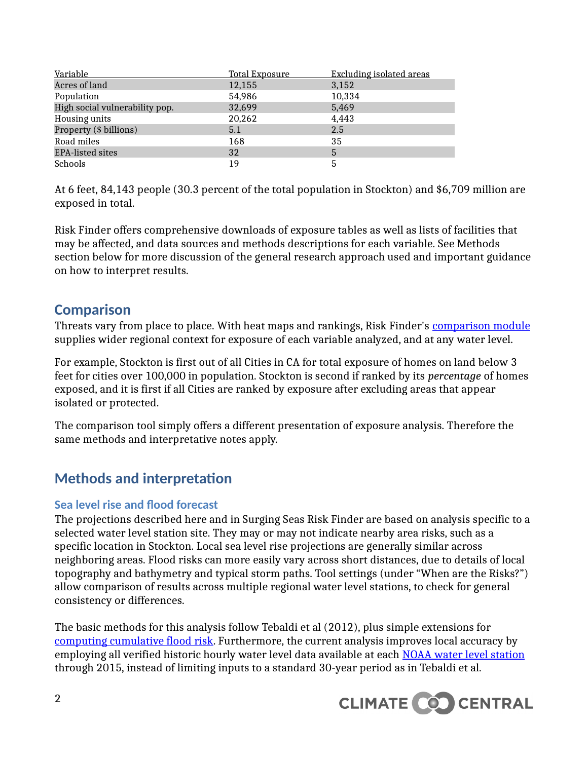| Variable                       | <u>Total Exposure</u> | <b>Excluding isolated areas</b> |
|--------------------------------|-----------------------|---------------------------------|
| Acres of land                  | 12,155                | 3,152                           |
| Population                     | 54,986                | 10,334                          |
| High social vulnerability pop. | 32,699                | 5,469                           |
| Housing units                  | 20,262                | 4,443                           |
| Property (\$ billions)         | 5.1                   | 2.5                             |
| Road miles                     | 168                   | 35                              |
| <b>EPA-listed sites</b>        | 32                    | 5                               |
| Schools                        | 19                    | 5                               |

At 6 feet, 84,143 people (30.3 percent of the total population in Stockton) and \$6,709 million are exposed in total.

Risk Finder offers comprehensive downloads of exposure tables as well as lists of facilities that may be affected, and data sources and methods descriptions for each variable. See Methods section below for more discussion of the general research approach used and important guidance on how to interpret results.

### **Comparison**

Threats vary from place to place. With heat maps and rankings, Risk Finder's [comparison module](http://www.riskfinder.org/place/stockton.ca.us?level=3&unit=ft#exposure-comparison) supplies wider regional context for exposure of each variable analyzed, and at any water level.

For example, Stockton is first out of all Cities in CA for total exposure of homes on land below 3 feet for cities over 100,000 in population. Stockton is second if ranked by its *percentage* of homes exposed, and it is first if all Cities are ranked by exposure after excluding areas that appear isolated or protected.

The comparison tool simply offers a different presentation of exposure analysis. Therefore the same methods and interpretative notes apply.

# **Methods and interpretation**

#### **Sea level rise and flood forecast**

The projections described here and in Surging Seas Risk Finder are based on analysis specific to a selected water level station site. They may or may not indicate nearby area risks, such as a specific location in Stockton. Local sea level rise projections are generally similar across neighboring areas. Flood risks can more easily vary across short distances, due to details of local topography and bathymetry and typical storm paths. Tool settings (under "When are the Risks?") allow comparison of results across multiple regional water level stations, to check for general consistency or differences.

The basic methods for this analysis follow Tebaldi et al (2012), plus simple extensions for [computing cumulative flood risk.](http://sealevel.climatecentral.org/research/methods/estimating-chances-and-timing-of-flood-levels1/) Furthermore, the current analysis improves local accuracy by employing all verified historic hourly water level data available at each [NOAA water level station](http://tidesandcurrents.noaa.gov/) through 2015, instead of limiting inputs to a standard 30-year period as in Tebaldi et al.

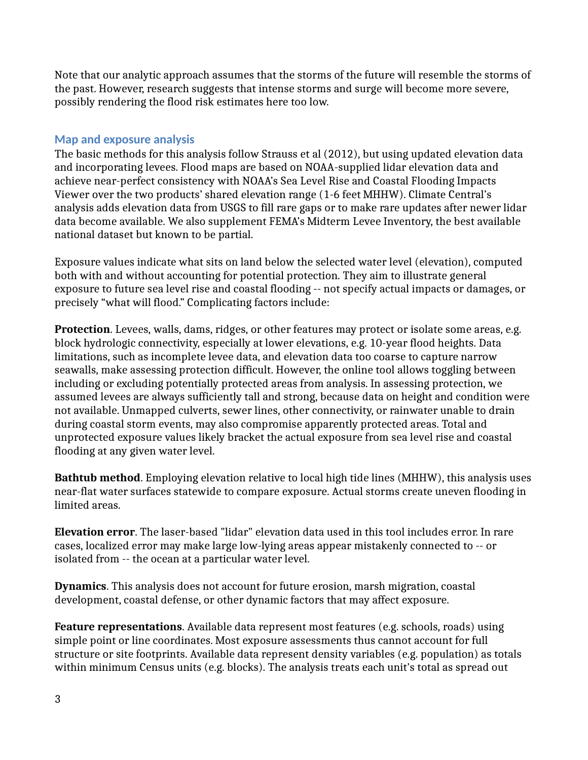Note that our analytic approach assumes that the storms of the future will resemble the storms of the past. However, research suggests that intense storms and surge will become more severe, possibly rendering the flood risk estimates here too low.

#### **Map and exposure analysis**

The basic methods for this analysis follow Strauss et al (2012), but using updated elevation data and incorporating levees. Flood maps are based on NOAA-supplied lidar elevation data and achieve near-perfect consistency with NOAA's Sea Level Rise and Coastal Flooding Impacts Viewer over the two products' shared elevation range (1-6 feet MHHW). Climate Central's analysis adds elevation data from USGS to fill rare gaps or to make rare updates after newer lidar data become available. We also supplement FEMA's Midterm Levee Inventory, the best available national dataset but known to be partial.

Exposure values indicate what sits on land below the selected water level (elevation), computed both with and without accounting for potential protection. They aim to illustrate general exposure to future sea level rise and coastal flooding -- not specify actual impacts or damages, or precisely "what will flood." Complicating factors include:

**Protection**. Levees, walls, dams, ridges, or other features may protect or isolate some areas, e.g. block hydrologic connectivity, especially at lower elevations, e.g. 10-year flood heights. Data limitations, such as incomplete levee data, and elevation data too coarse to capture narrow seawalls, make assessing protection difficult. However, the online tool allows toggling between including or excluding potentially protected areas from analysis. In assessing protection, we assumed levees are always sufficiently tall and strong, because data on height and condition were not available. Unmapped culverts, sewer lines, other connectivity, or rainwater unable to drain during coastal storm events, may also compromise apparently protected areas. Total and unprotected exposure values likely bracket the actual exposure from sea level rise and coastal flooding at any given water level.

**Bathtub method**. Employing elevation relative to local high tide lines (MHHW), this analysis uses near-flat water surfaces statewide to compare exposure. Actual storms create uneven flooding in limited areas.

**Elevation error**. The laser-based "lidar" elevation data used in this tool includes error. In rare cases, localized error may make large low-lying areas appear mistakenly connected to -- or isolated from -- the ocean at a particular water level.

**Dynamics**. This analysis does not account for future erosion, marsh migration, coastal development, coastal defense, or other dynamic factors that may affect exposure.

**Feature representations**. Available data represent most features (e.g. schools, roads) using simple point or line coordinates. Most exposure assessments thus cannot account for full structure or site footprints. Available data represent density variables (e.g. population) as totals within minimum Census units (e.g. blocks). The analysis treats each unit's total as spread out